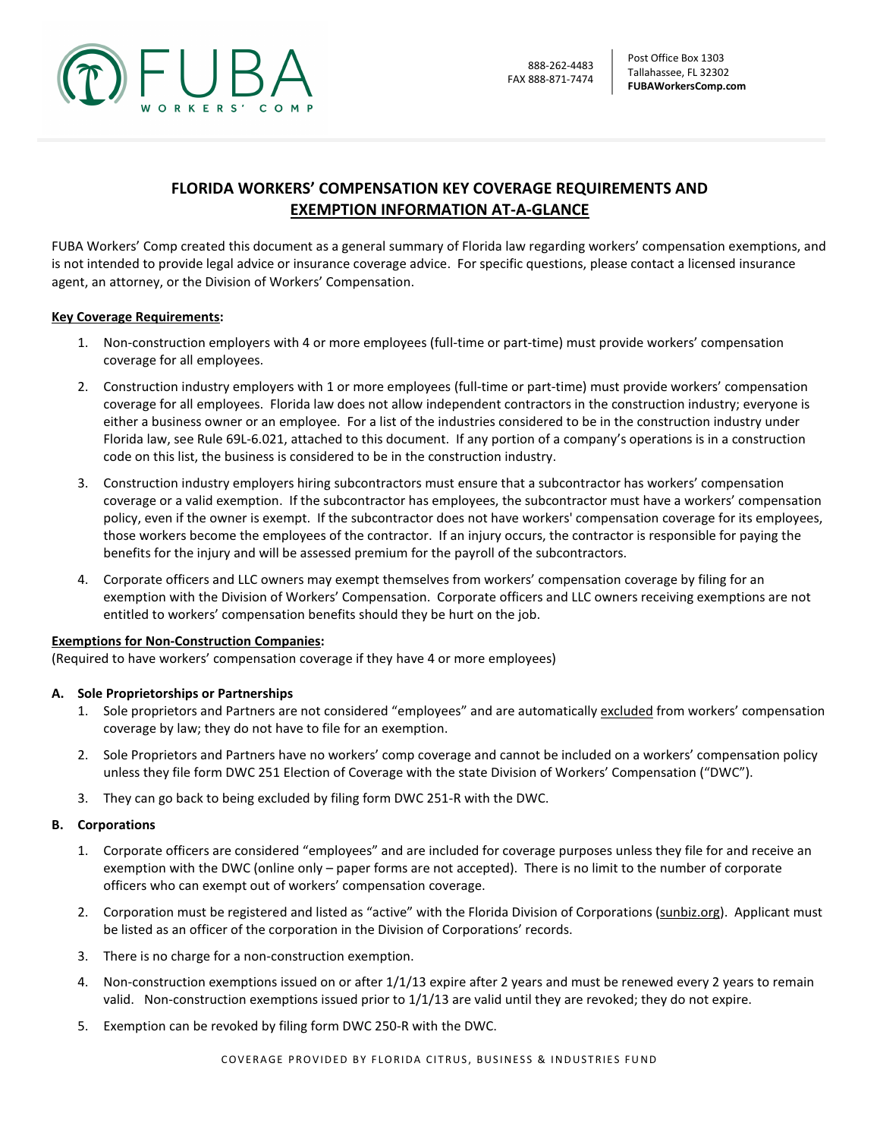

# FLORIDA WORKERS' COMPENSATION KEY COVERAGE REQUIREMENTS AND EXEMPTION INFORMATION AT-A-GLANCE

FUBA Workers' Comp created this document as a general summary of Florida law regarding workers' compensation exemptions, and is not intended to provide legal advice or insurance coverage advice. For specific questions, please contact a licensed insurance agent, an attorney, or the Division of Workers' Compensation.

### Key Coverage Requirements:

- 1. Non-construction employers with 4 or more employees (full-time or part-time) must provide workers' compensation coverage for all employees.
- 2. Construction industry employers with 1 or more employees (full-time or part-time) must provide workers' compensation coverage for all employees. Florida law does not allow independent contractors in the construction industry; everyone is either a business owner or an employee. For a list of the industries considered to be in the construction industry under Florida law, see Rule 69L-6.021, attached to this document. If any portion of a company's operations is in a construction code on this list, the business is considered to be in the construction industry.
- 3. Construction industry employers hiring subcontractors must ensure that a subcontractor has workers' compensation coverage or a valid exemption. If the subcontractor has employees, the subcontractor must have a workers' compensation policy, even if the owner is exempt. If the subcontractor does not have workers' compensation coverage for its employees, those workers become the employees of the contractor. If an injury occurs, the contractor is responsible for paying the benefits for the injury and will be assessed premium for the payroll of the subcontractors.
- 4. Corporate officers and LLC owners may exempt themselves from workers' compensation coverage by filing for an exemption with the Division of Workers' Compensation. Corporate officers and LLC owners receiving exemptions are not entitled to workers' compensation benefits should they be hurt on the job.

#### Exemptions for Non-Construction Companies:

(Required to have workers' compensation coverage if they have 4 or more employees)

# A. Sole Proprietorships or Partnerships

- 1. Sole proprietors and Partners are not considered "employees" and are automatically excluded from workers' compensation coverage by law; they do not have to file for an exemption.
- 2. Sole Proprietors and Partners have no workers' comp coverage and cannot be included on a workers' compensation policy unless they file form DWC 251 Election of Coverage with the state Division of Workers' Compensation ("DWC").
- 3. They can go back to being excluded by filing form DWC 251-R with the DWC.

#### B. Corporations

- 1. Corporate officers are considered "employees" and are included for coverage purposes unless they file for and receive an exemption with the DWC (online only – paper forms are not accepted). There is no limit to the number of corporate officers who can exempt out of workers' compensation coverage.
- 2. Corporation must be registered and listed as "active" with the Florida Division of Corporations (sunbiz.org). Applicant must be listed as an officer of the corporation in the Division of Corporations' records.
- 3. There is no charge for a non-construction exemption.
- 4. Non-construction exemptions issued on or after 1/1/13 expire after 2 years and must be renewed every 2 years to remain valid. Non-construction exemptions issued prior to 1/1/13 are valid until they are revoked; they do not expire.
- 5. Exemption can be revoked by filing form DWC 250-R with the DWC.